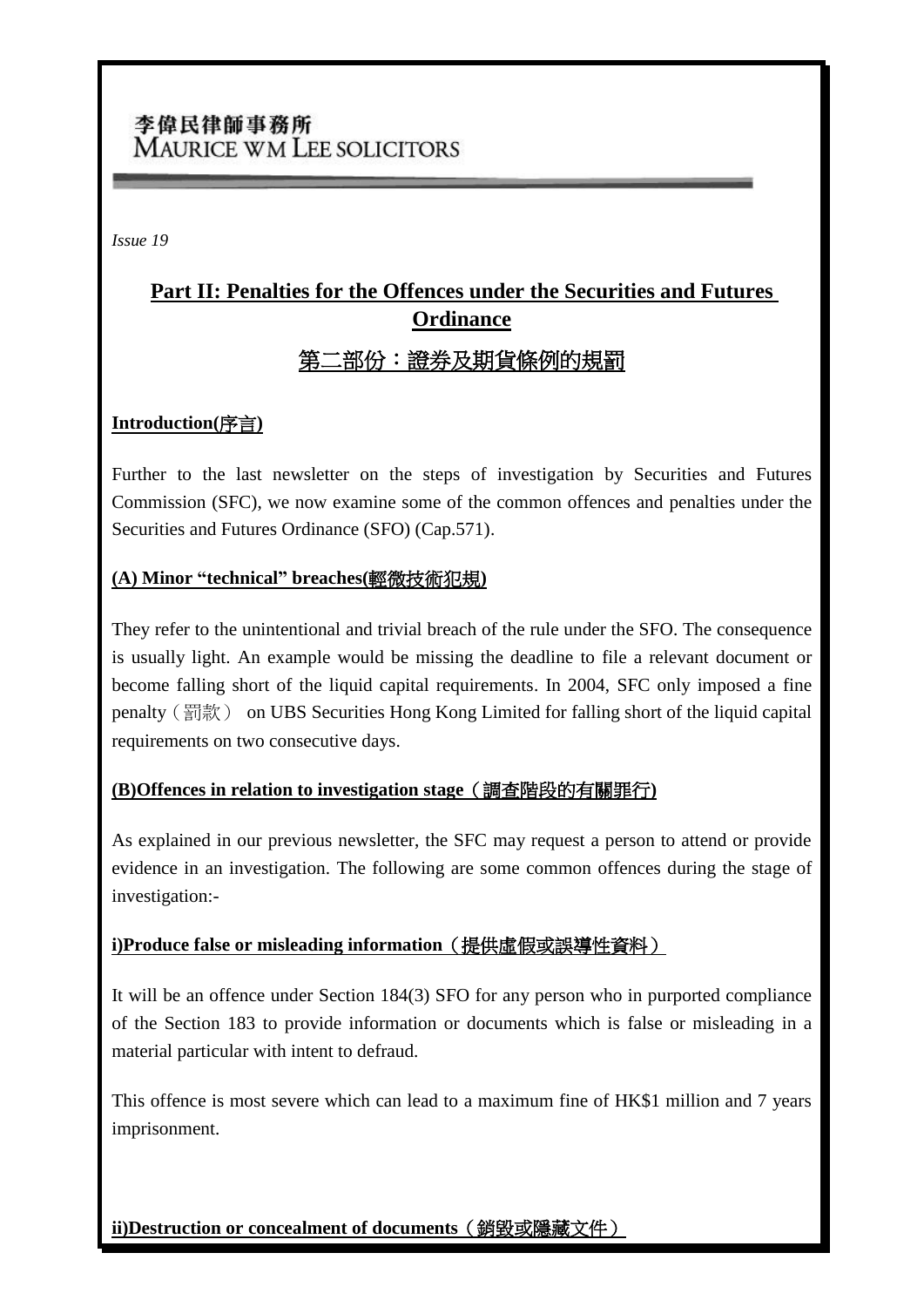## 李偉民律師事務所 **MAURICE WM LEE SOLICITORS**

*Issue 19*

# **Part II: Penalties for the Offences under the Securities and Futures Ordinance** 第二部份:證券及期貨條例的規罰

#### **Introduction(**序言**)**

Further to the last newsletter on the steps of investigation by Securities and Futures Commission (SFC), we now examine some of the common offences and penalties under the Securities and Futures Ordinance (SFO) (Cap.571).

#### **(A) Minor "technical" breaches(**輕微技術犯規**)**

They refer to the unintentional and trivial breach of the rule under the SFO. The consequence is usually light. An example would be missing the deadline to file a relevant document or become falling short of the liquid capital requirements. In 2004, SFC only imposed a fine penalty (罰款) on UBS Securities Hong Kong Limited for falling short of the liquid capital requirements on two consecutive days.

#### **(B)Offences in relation to investigation stage**(調查階段的有關罪行**)**

As explained in our previous newsletter, the SFC may request a person to attend or provide evidence in an investigation. The following are some common offences during the stage of investigation:-

#### **i)Produce false or misleading information**(提供虛假或誤導性資料)

It will be an offence under Section 184(3) SFO for any person who in purported compliance of the Section 183 to provide information or documents which is false or misleading in a material particular with intent to defraud.

This offence is most severe which can lead to a maximum fine of HK\$1 million and 7 years imprisonment.

#### **ii)Destruction or concealment of documents**(銷毀或隱藏文件)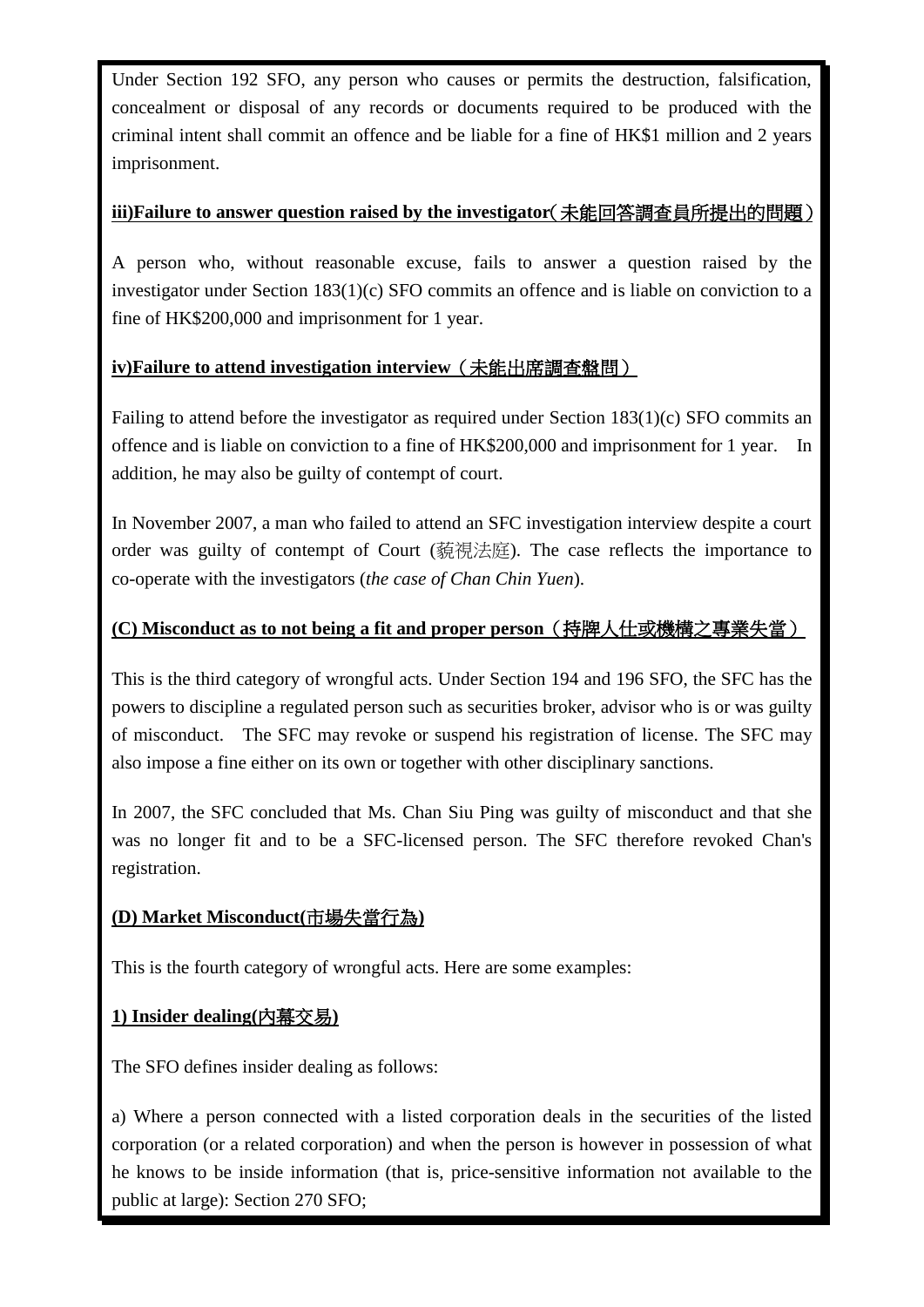Under Section 192 SFO, any person who causes or permits the destruction, falsification, concealment or disposal of any records or documents required to be produced with the criminal intent shall commit an offence and be liable for a fine of HK\$1 million and 2 years imprisonment.

## **iii)Failure to answer question raised by the investigator**(未能回答調查員所提出的問題)

A person who, without reasonable excuse, fails to answer a question raised by the investigator under Section 183(1)(c) SFO commits an offence and is liable on conviction to a fine of HK\$200,000 and imprisonment for 1 year.

## **iv)Failure to attend investigation interview**(未能出席調查盤問)

Failing to attend before the investigator as required under Section 183(1)(c) SFO commits an offence and is liable on conviction to a fine of HK\$200,000 and imprisonment for 1 year. In addition, he may also be guilty of contempt of court.

In November 2007, a man who failed to attend an SFC investigation interview despite a court order was guilty of contempt of Court (藐視法庭). The case reflects the importance to co-operate with the investigators (*the case of Chan Chin Yuen*).

## **(C) Misconduct as to not being a fit and proper person**(持牌人仕或機構之專業失當)

This is the third category of wrongful acts. Under Section 194 and 196 SFO, the SFC has the powers to discipline a regulated person such as securities broker, advisor who is or was guilty of misconduct. The SFC may revoke or suspend his registration of license. The SFC may also impose a fine either on its own or together with other disciplinary sanctions.

In 2007, the SFC concluded that Ms. Chan Siu Ping was guilty of misconduct and that she was no longer fit and to be a SFC-licensed person. The SFC therefore revoked Chan's registration.

#### **(D) Market Misconduct(**市場失當行為**)**

This is the fourth category of wrongful acts. Here are some examples:

#### **1) Insider dealing(**內幕交易**)**

The SFO defines insider dealing as follows:

a) Where a person connected with a listed corporation deals in the securities of the listed corporation (or a related corporation) and when the person is however in possession of what he knows to be inside information (that is, price-sensitive information not available to the public at large): Section 270 SFO;